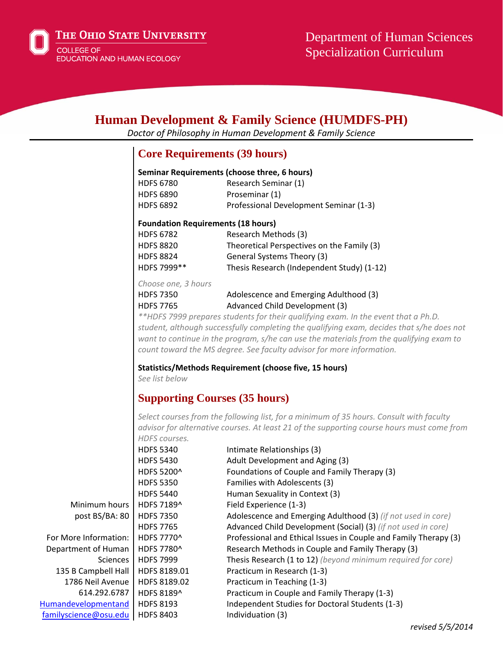

The Ohio State University

**COLLEGE OF EDUCATION AND HUMAN ECOLOGY** 

# **Human Development & Family Science (HUMDFS-PH)**

*Doctor of Philosophy in Human Development & Family Science*

## **Core Requirements (39 hours)**

#### **Seminar Requirements (choose three, 6 hours)**

| <b>HDFS 6780</b> | Research Seminar (1)                   |
|------------------|----------------------------------------|
| <b>HDFS 6890</b> | Proseminar (1)                         |
| <b>HDFS 6892</b> | Professional Development Seminar (1-3) |

#### **Foundation Requirements (18 hours)**

| <b>HDFS 6782</b> | Research Methods (3)                       |
|------------------|--------------------------------------------|
| <b>HDFS 8820</b> | Theoretical Perspectives on the Family (3) |
| <b>HDFS 8824</b> | General Systems Theory (3)                 |
| HDFS 7999**      | Thesis Research (Independent Study) (1-12) |

*Choose one, 3 hours*

| HDFS 7350 | Adolescence and Emerging Adulthood (3) |
|-----------|----------------------------------------|
| HDFS 7765 | Advanced Child Development (3)         |
|           |                                        |

*\*\*HDFS 7999 prepares students for their qualifying exam. In the event that a Ph.D. student, although successfully completing the qualifying exam, decides that s/he does not want to continue in the program, s/he can use the materials from the qualifying exam to count toward the MS degree. See faculty advisor for more information.*

### **Statistics/Methods Requirement (choose five, 15 hours)**

*See list below*

## **Supporting Courses (35 hours)**

*Select courses from the following list, for a minimum of 35 hours. Consult with faculty advisor for alternative courses. At least 21 of the supporting course hours must come from HDFS courses.*

|                       | <b>HDFS 5340</b> | Intimate Relationships (3)                                       |
|-----------------------|------------------|------------------------------------------------------------------|
|                       | <b>HDFS 5430</b> | Adult Development and Aging (3)                                  |
|                       | HDFS 5200^       | Foundations of Couple and Family Therapy (3)                     |
|                       | <b>HDFS 5350</b> | Families with Adolescents (3)                                    |
|                       | <b>HDFS 5440</b> | Human Sexuality in Context (3)                                   |
| Minimum hours         | HDFS 7189^       | Field Experience (1-3)                                           |
| post BS/BA: 80        | <b>HDFS 7350</b> | Adolescence and Emerging Adulthood (3) (if not used in core)     |
|                       | <b>HDFS 7765</b> | Advanced Child Development (Social) (3) (if not used in core)    |
| For More Information: | HDFS 7770^       | Professional and Ethical Issues in Couple and Family Therapy (3) |
| Department of Human   | HDFS 7780^       | Research Methods in Couple and Family Therapy (3)                |
| <b>Sciences</b>       | <b>HDFS 7999</b> | Thesis Research (1 to 12) (beyond minimum required for core)     |
| 135 B Campbell Hall   | HDFS 8189.01     | Practicum in Research (1-3)                                      |
| 1786 Neil Avenue      | HDFS 8189.02     | Practicum in Teaching (1-3)                                      |
| 614.292.6787          | HDFS 8189^       | Practicum in Couple and Family Therapy (1-3)                     |
| Humandevelopmentand   | <b>HDFS 8193</b> | Independent Studies for Doctoral Students (1-3)                  |
| familyscience@osu.edu | <b>HDFS 8403</b> | Individuation (3)                                                |